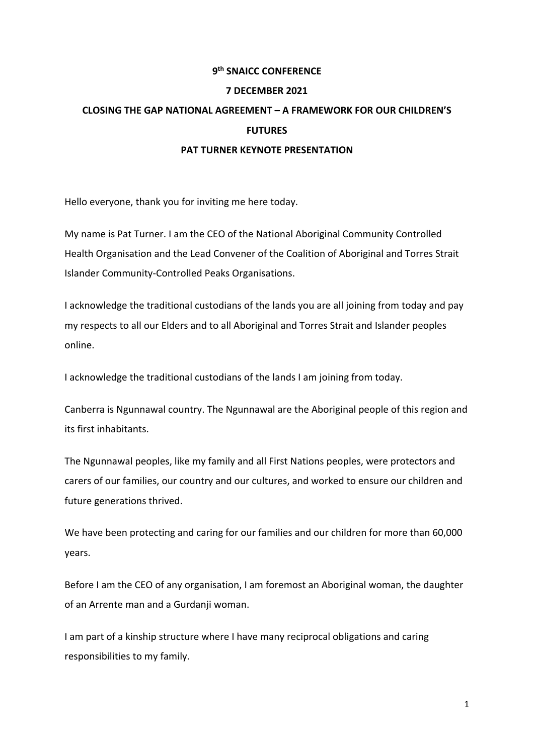## **9th SNAICC CONFERENCE**

### **7 DECEMBER 2021**

# **CLOSING THE GAP NATIONAL AGREEMENT – A FRAMEWORK FOR OUR CHILDREN'S FUTURES PAT TURNER KEYNOTE PRESENTATION**

Hello everyone, thank you for inviting me here today.

My name is Pat Turner. I am the CEO of the National Aboriginal Community Controlled Health Organisation and the Lead Convener of the Coalition of Aboriginal and Torres Strait Islander Community-Controlled Peaks Organisations.

I acknowledge the traditional custodians of the lands you are all joining from today and pay my respects to all our Elders and to all Aboriginal and Torres Strait and Islander peoples online.

I acknowledge the traditional custodians of the lands I am joining from today.

Canberra is Ngunnawal country. The Ngunnawal are the Aboriginal people of this region and its first inhabitants.

The Ngunnawal peoples, like my family and all First Nations peoples, were protectors and carers of our families, our country and our cultures, and worked to ensure our children and future generations thrived.

We have been protecting and caring for our families and our children for more than 60,000 years.

Before I am the CEO of any organisation, I am foremost an Aboriginal woman, the daughter of an Arrente man and a Gurdanji woman.

I am part of a kinship structure where I have many reciprocal obligations and caring responsibilities to my family.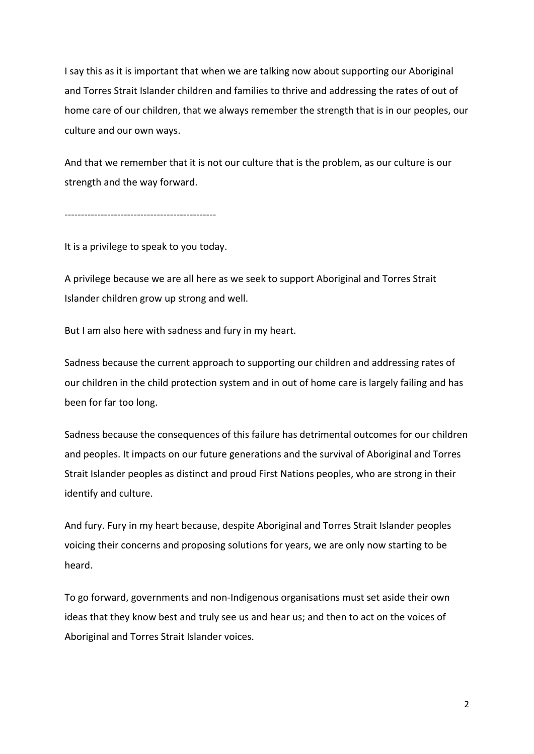I say this as it is important that when we are talking now about supporting our Aboriginal and Torres Strait Islander children and families to thrive and addressing the rates of out of home care of our children, that we always remember the strength that is in our peoples, our culture and our own ways.

And that we remember that it is not our culture that is the problem, as our culture is our strength and the way forward.

----------------------------------------------

It is a privilege to speak to you today.

A privilege because we are all here as we seek to support Aboriginal and Torres Strait Islander children grow up strong and well.

But I am also here with sadness and fury in my heart.

Sadness because the current approach to supporting our children and addressing rates of our children in the child protection system and in out of home care is largely failing and has been for far too long.

Sadness because the consequences of this failure has detrimental outcomes for our children and peoples. It impacts on our future generations and the survival of Aboriginal and Torres Strait Islander peoples as distinct and proud First Nations peoples, who are strong in their identify and culture.

And fury. Fury in my heart because, despite Aboriginal and Torres Strait Islander peoples voicing their concerns and proposing solutions for years, we are only now starting to be heard.

To go forward, governments and non-Indigenous organisations must set aside their own ideas that they know best and truly see us and hear us; and then to act on the voices of Aboriginal and Torres Strait Islander voices.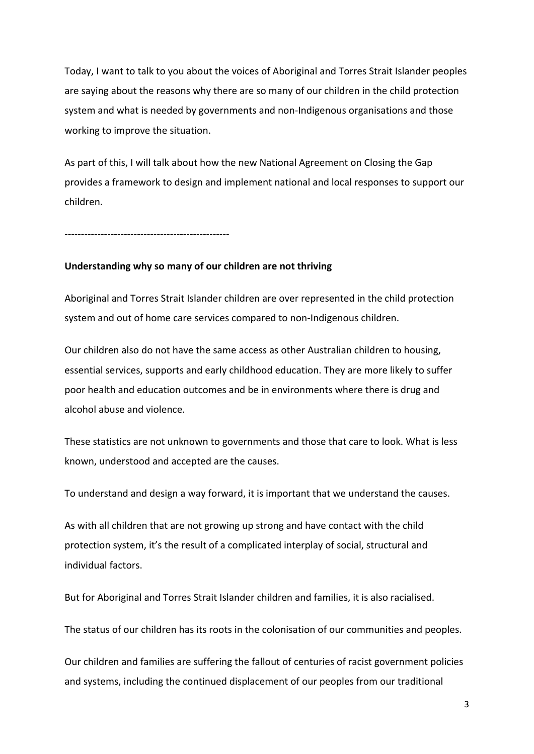Today, I want to talk to you about the voices of Aboriginal and Torres Strait Islander peoples are saying about the reasons why there are so many of our children in the child protection system and what is needed by governments and non-Indigenous organisations and those working to improve the situation.

As part of this, I will talk about how the new National Agreement on Closing the Gap provides a framework to design and implement national and local responses to support our children.

--------------------------------------------------

### **Understanding why so many of our children are not thriving**

Aboriginal and Torres Strait Islander children are over represented in the child protection system and out of home care services compared to non-Indigenous children.

Our children also do not have the same access as other Australian children to housing, essential services, supports and early childhood education. They are more likely to suffer poor health and education outcomes and be in environments where there is drug and alcohol abuse and violence.

These statistics are not unknown to governments and those that care to look. What is less known, understood and accepted are the causes.

To understand and design a way forward, it is important that we understand the causes.

As with all children that are not growing up strong and have contact with the child protection system, it's the result of a complicated interplay of social, structural and individual factors.

But for Aboriginal and Torres Strait Islander children and families, it is also racialised.

The status of our children has its roots in the colonisation of our communities and peoples.

Our children and families are suffering the fallout of centuries of racist government policies and systems, including the continued displacement of our peoples from our traditional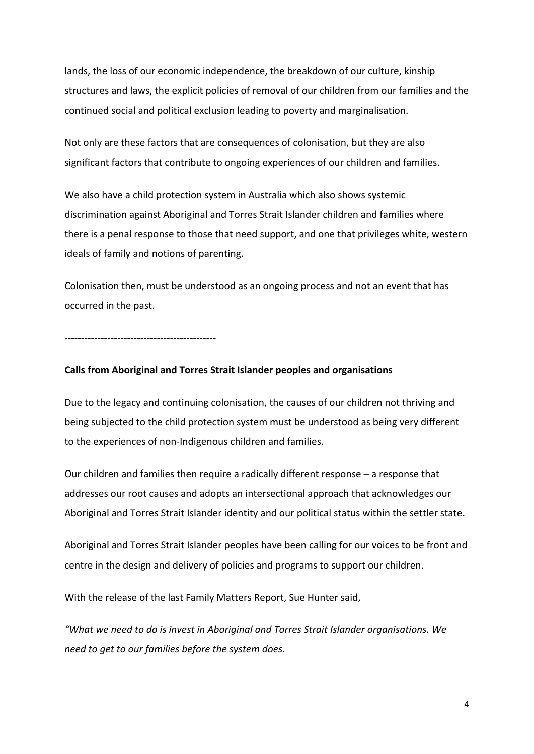lands, the loss of our economic independence, the breakdown of our culture, kinship structures and laws, the explicit policies of removal of our children from our families and the continued social and political exclusion leading to poverty and marginalisation.

Not only are these factors that are consequences of colonisation, but they are also significant factors that contribute to ongoing experiences of our children and families.

We also have a child protection system in Australia which also shows systemic discrimination against Aboriginal and Torres Strait Islander children and families where there is a penal response to those that need support, and one that privileges white, western ideals of family and notions of parenting.

Colonisation then, must be understood as an ongoing process and not an event that has occurred in the past.

----------------------------------------------

### **Calls from Aboriginal and Torres Strait Islander peoples and organisations**

Due to the legacy and continuing colonisation, the causes of our children not thriving and being subjected to the child protection system must be understood as being very different to the experiences of non-Indigenous children and families.

Our children and families then require a radically different response – a response that addresses our root causes and adopts an intersectional approach that acknowledges our Aboriginal and Torres Strait Islander identity and our political status within the settler state.

Aboriginal and Torres Strait Islander peoples have been calling for our voices to be front and centre in the design and delivery of policies and programs to support our children.

With the release of the last Family Matters Report, Sue Hunter said,

*"What we need to do is invest in Aboriginal and Torres Strait Islander organisations. We need to get to our families before the system does.*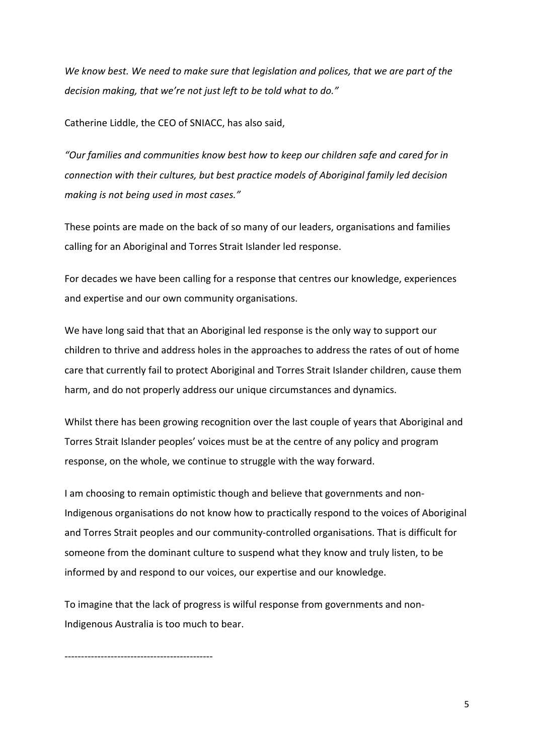*We know best. We need to make sure that legislation and polices, that we are part of the decision making, that we're not just left to be told what to do."*

Catherine Liddle, the CEO of SNIACC, has also said,

*"Our families and communities know best how to keep our children safe and cared for in connection with their cultures, but best practice models of Aboriginal family led decision making is not being used in most cases."* 

These points are made on the back of so many of our leaders, organisations and families calling for an Aboriginal and Torres Strait Islander led response.

For decades we have been calling for a response that centres our knowledge, experiences and expertise and our own community organisations.

We have long said that that an Aboriginal led response is the only way to support our children to thrive and address holes in the approaches to address the rates of out of home care that currently fail to protect Aboriginal and Torres Strait Islander children, cause them harm, and do not properly address our unique circumstances and dynamics.

Whilst there has been growing recognition over the last couple of years that Aboriginal and Torres Strait Islander peoples' voices must be at the centre of any policy and program response, on the whole, we continue to struggle with the way forward.

I am choosing to remain optimistic though and believe that governments and non-Indigenous organisations do not know how to practically respond to the voices of Aboriginal and Torres Strait peoples and our community-controlled organisations. That is difficult for someone from the dominant culture to suspend what they know and truly listen, to be informed by and respond to our voices, our expertise and our knowledge.

To imagine that the lack of progress is wilful response from governments and non-Indigenous Australia is too much to bear.

---------------------------------------------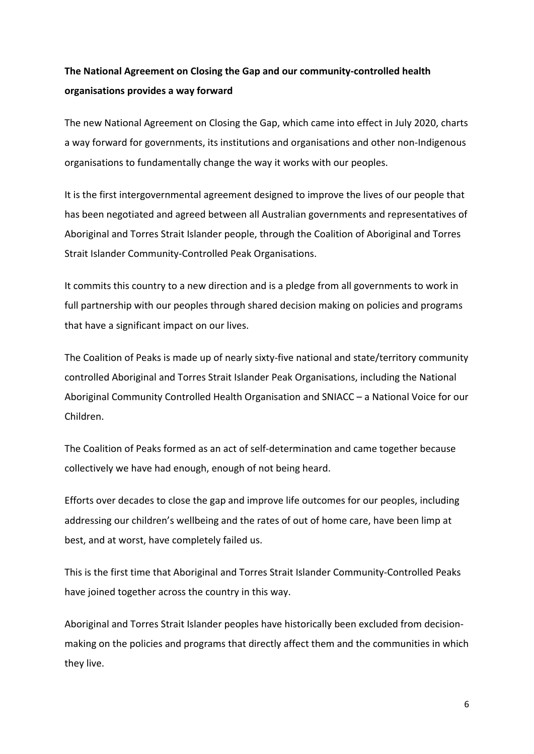## **The National Agreement on Closing the Gap and our community-controlled health organisations provides a way forward**

The new National Agreement on Closing the Gap, which came into effect in July 2020, charts a way forward for governments, its institutions and organisations and other non-Indigenous organisations to fundamentally change the way it works with our peoples.

It is the first intergovernmental agreement designed to improve the lives of our people that has been negotiated and agreed between all Australian governments and representatives of Aboriginal and Torres Strait Islander people, through the Coalition of Aboriginal and Torres Strait Islander Community-Controlled Peak Organisations.

It commits this country to a new direction and is a pledge from all governments to work in full partnership with our peoples through shared decision making on policies and programs that have a significant impact on our lives.

The Coalition of Peaks is made up of nearly sixty-five national and state/territory community controlled Aboriginal and Torres Strait Islander Peak Organisations, including the National Aboriginal Community Controlled Health Organisation and SNIACC – a National Voice for our Children.

The Coalition of Peaks formed as an act of self-determination and came together because collectively we have had enough, enough of not being heard.

Efforts over decades to close the gap and improve life outcomes for our peoples, including addressing our children's wellbeing and the rates of out of home care, have been limp at best, and at worst, have completely failed us.

This is the first time that Aboriginal and Torres Strait Islander Community-Controlled Peaks have joined together across the country in this way.

Aboriginal and Torres Strait Islander peoples have historically been excluded from decisionmaking on the policies and programs that directly affect them and the communities in which they live.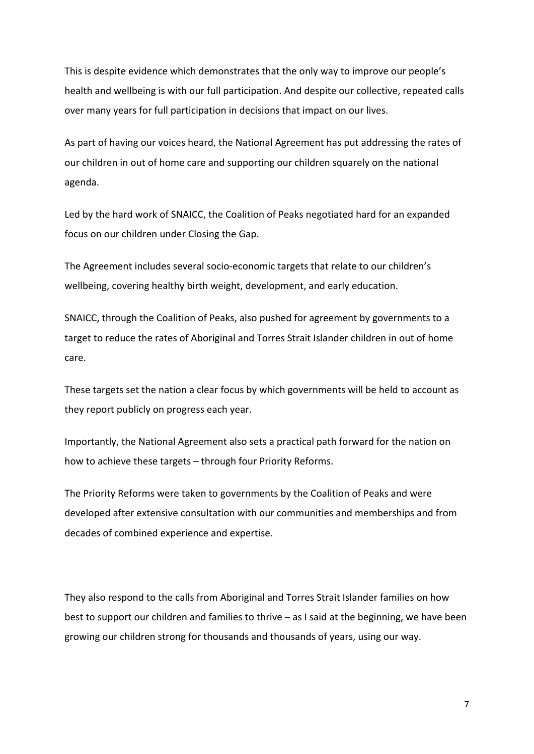This is despite evidence which demonstrates that the only way to improve our people's health and wellbeing is with our full participation. And despite our collective, repeated calls over many years for full participation in decisions that impact on our lives.

As part of having our voices heard, the National Agreement has put addressing the rates of our children in out of home care and supporting our children squarely on the national agenda.

Led by the hard work of SNAICC, the Coalition of Peaks negotiated hard for an expanded focus on our children under Closing the Gap.

The Agreement includes several socio-economic targets that relate to our children's wellbeing, covering healthy birth weight, development, and early education.

SNAICC, through the Coalition of Peaks, also pushed for agreement by governments to a target to reduce the rates of Aboriginal and Torres Strait Islander children in out of home care.

These targets set the nation a clear focus by which governments will be held to account as they report publicly on progress each year.

Importantly, the National Agreement also sets a practical path forward for the nation on how to achieve these targets – through four Priority Reforms.

The Priority Reforms were taken to governments by the Coalition of Peaks and were developed after extensive consultation with our communities and memberships and from decades of combined experience and expertise.

They also respond to the calls from Aboriginal and Torres Strait Islander families on how best to support our children and families to thrive – as I said at the beginning, we have been growing our children strong for thousands and thousands of years, using our way.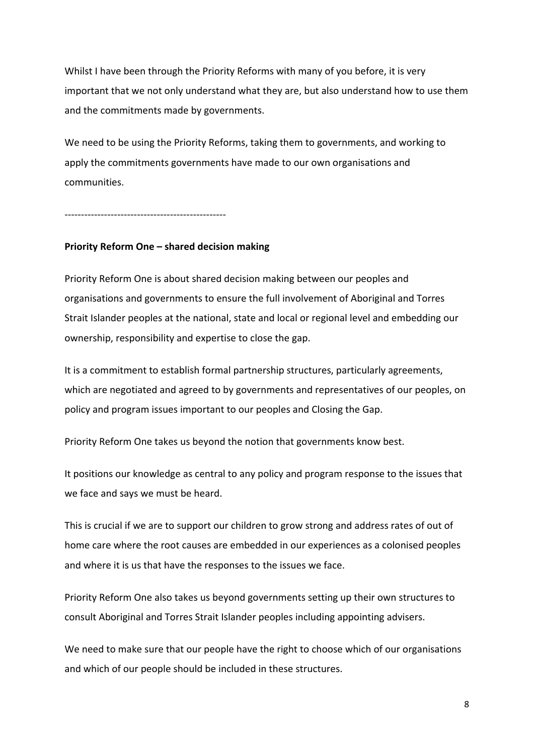Whilst I have been through the Priority Reforms with many of you before, it is very important that we not only understand what they are, but also understand how to use them and the commitments made by governments.

We need to be using the Priority Reforms, taking them to governments, and working to apply the commitments governments have made to our own organisations and communities.

-------------------------------------------------

## **Priority Reform One – shared decision making**

Priority Reform One is about shared decision making between our peoples and organisations and governments to ensure the full involvement of Aboriginal and Torres Strait Islander peoples at the national, state and local or regional level and embedding our ownership, responsibility and expertise to close the gap.

It is a commitment to establish formal partnership structures, particularly agreements, which are negotiated and agreed to by governments and representatives of our peoples, on policy and program issues important to our peoples and Closing the Gap.

Priority Reform One takes us beyond the notion that governments know best.

It positions our knowledge as central to any policy and program response to the issues that we face and says we must be heard.

This is crucial if we are to support our children to grow strong and address rates of out of home care where the root causes are embedded in our experiences as a colonised peoples and where it is us that have the responses to the issues we face.

Priority Reform One also takes us beyond governments setting up their own structures to consult Aboriginal and Torres Strait Islander peoples including appointing advisers.

We need to make sure that our people have the right to choose which of our organisations and which of our people should be included in these structures.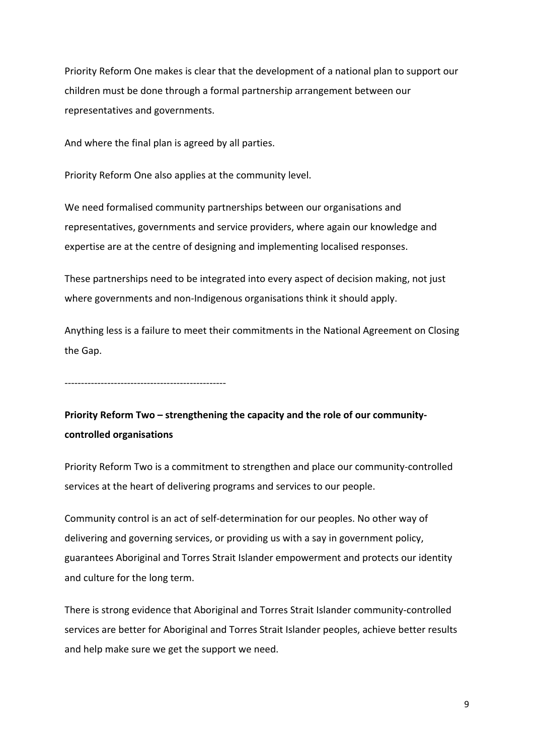Priority Reform One makes is clear that the development of a national plan to support our children must be done through a formal partnership arrangement between our representatives and governments.

And where the final plan is agreed by all parties.

Priority Reform One also applies at the community level.

We need formalised community partnerships between our organisations and representatives, governments and service providers, where again our knowledge and expertise are at the centre of designing and implementing localised responses.

These partnerships need to be integrated into every aspect of decision making, not just where governments and non-Indigenous organisations think it should apply.

Anything less is a failure to meet their commitments in the National Agreement on Closing the Gap.

-------------------------------------------------

**Priority Reform Two – strengthening the capacity and the role of our communitycontrolled organisations**

Priority Reform Two is a commitment to strengthen and place our community-controlled services at the heart of delivering programs and services to our people.

Community control is an act of self-determination for our peoples. No other way of delivering and governing services, or providing us with a say in government policy, guarantees Aboriginal and Torres Strait Islander empowerment and protects our identity and culture for the long term.

There is strong evidence that Aboriginal and Torres Strait Islander community-controlled services are better for Aboriginal and Torres Strait Islander peoples, achieve better results and help make sure we get the support we need.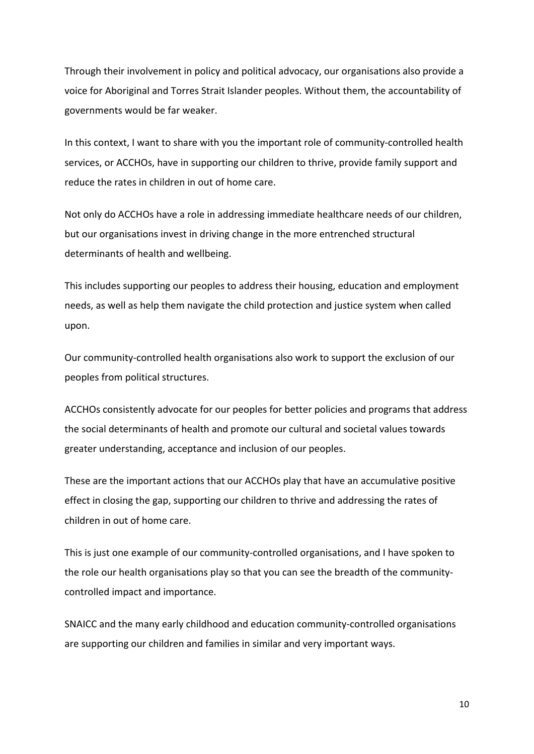Through their involvement in policy and political advocacy, our organisations also provide a voice for Aboriginal and Torres Strait Islander peoples. Without them, the accountability of governments would be far weaker.

In this context, I want to share with you the important role of community-controlled health services, or ACCHOs, have in supporting our children to thrive, provide family support and reduce the rates in children in out of home care.

Not only do ACCHOs have a role in addressing immediate healthcare needs of our children, but our organisations invest in driving change in the more entrenched structural determinants of health and wellbeing.

This includes supporting our peoples to address their housing, education and employment needs, as well as help them navigate the child protection and justice system when called upon.

Our community-controlled health organisations also work to support the exclusion of our peoples from political structures.

ACCHOs consistently advocate for our peoples for better policies and programs that address the social determinants of health and promote our cultural and societal values towards greater understanding, acceptance and inclusion of our peoples.

These are the important actions that our ACCHOs play that have an accumulative positive effect in closing the gap, supporting our children to thrive and addressing the rates of children in out of home care.

This is just one example of our community-controlled organisations, and I have spoken to the role our health organisations play so that you can see the breadth of the communitycontrolled impact and importance.

SNAICC and the many early childhood and education community-controlled organisations are supporting our children and families in similar and very important ways.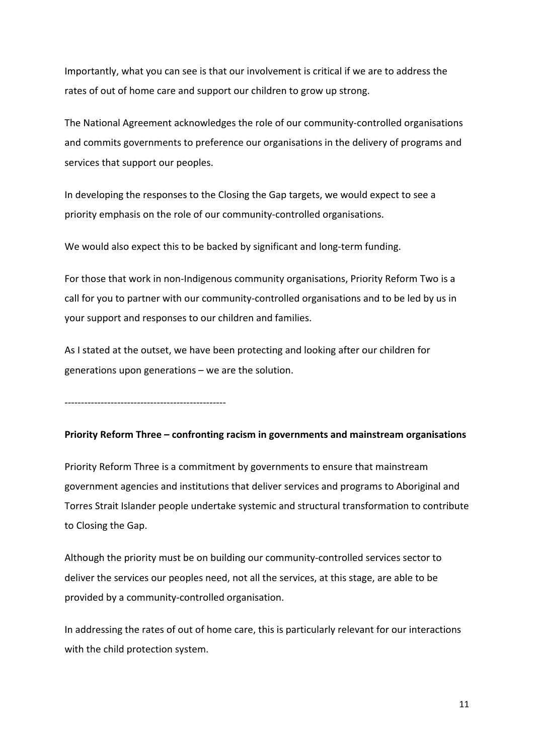Importantly, what you can see is that our involvement is critical if we are to address the rates of out of home care and support our children to grow up strong.

The National Agreement acknowledges the role of our community-controlled organisations and commits governments to preference our organisations in the delivery of programs and services that support our peoples.

In developing the responses to the Closing the Gap targets, we would expect to see a priority emphasis on the role of our community-controlled organisations.

We would also expect this to be backed by significant and long-term funding.

For those that work in non-Indigenous community organisations, Priority Reform Two is a call for you to partner with our community-controlled organisations and to be led by us in your support and responses to our children and families.

As I stated at the outset, we have been protecting and looking after our children for generations upon generations – we are the solution.

-------------------------------------------------

### **Priority Reform Three – confronting racism in governments and mainstream organisations**

Priority Reform Three is a commitment by governments to ensure that mainstream government agencies and institutions that deliver services and programs to Aboriginal and Torres Strait Islander people undertake systemic and structural transformation to contribute to Closing the Gap.

Although the priority must be on building our community-controlled services sector to deliver the services our peoples need, not all the services, at this stage, are able to be provided by a community-controlled organisation.

In addressing the rates of out of home care, this is particularly relevant for our interactions with the child protection system.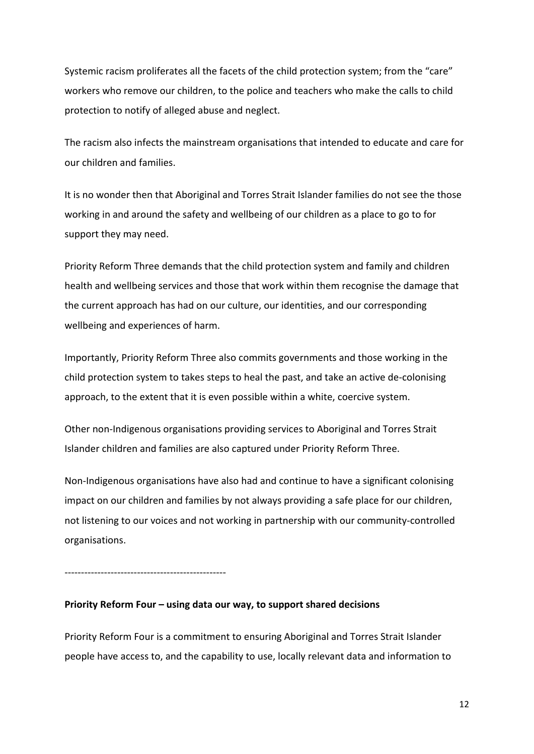Systemic racism proliferates all the facets of the child protection system; from the "care" workers who remove our children, to the police and teachers who make the calls to child protection to notify of alleged abuse and neglect.

The racism also infects the mainstream organisations that intended to educate and care for our children and families.

It is no wonder then that Aboriginal and Torres Strait Islander families do not see the those working in and around the safety and wellbeing of our children as a place to go to for support they may need.

Priority Reform Three demands that the child protection system and family and children health and wellbeing services and those that work within them recognise the damage that the current approach has had on our culture, our identities, and our corresponding wellbeing and experiences of harm.

Importantly, Priority Reform Three also commits governments and those working in the child protection system to takes steps to heal the past, and take an active de-colonising approach, to the extent that it is even possible within a white, coercive system.

Other non-Indigenous organisations providing services to Aboriginal and Torres Strait Islander children and families are also captured under Priority Reform Three.

Non-Indigenous organisations have also had and continue to have a significant colonising impact on our children and families by not always providing a safe place for our children, not listening to our voices and not working in partnership with our community-controlled organisations.

-------------------------------------------------

## **Priority Reform Four – using data our way, to support shared decisions**

Priority Reform Four is a commitment to ensuring Aboriginal and Torres Strait Islander people have access to, and the capability to use, locally relevant data and information to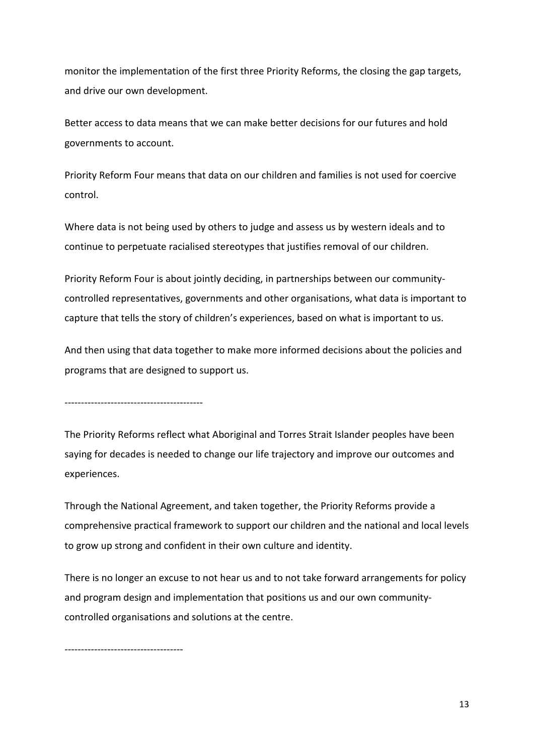monitor the implementation of the first three Priority Reforms, the closing the gap targets, and drive our own development.

Better access to data means that we can make better decisions for our futures and hold governments to account.

Priority Reform Four means that data on our children and families is not used for coercive control.

Where data is not being used by others to judge and assess us by western ideals and to continue to perpetuate racialised stereotypes that justifies removal of our children.

Priority Reform Four is about jointly deciding, in partnerships between our communitycontrolled representatives, governments and other organisations, what data is important to capture that tells the story of children's experiences, based on what is important to us.

And then using that data together to make more informed decisions about the policies and programs that are designed to support us.

------------------------------------------

The Priority Reforms reflect what Aboriginal and Torres Strait Islander peoples have been saying for decades is needed to change our life trajectory and improve our outcomes and experiences.

Through the National Agreement, and taken together, the Priority Reforms provide a comprehensive practical framework to support our children and the national and local levels to grow up strong and confident in their own culture and identity.

There is no longer an excuse to not hear us and to not take forward arrangements for policy and program design and implementation that positions us and our own communitycontrolled organisations and solutions at the centre.

------------------------------------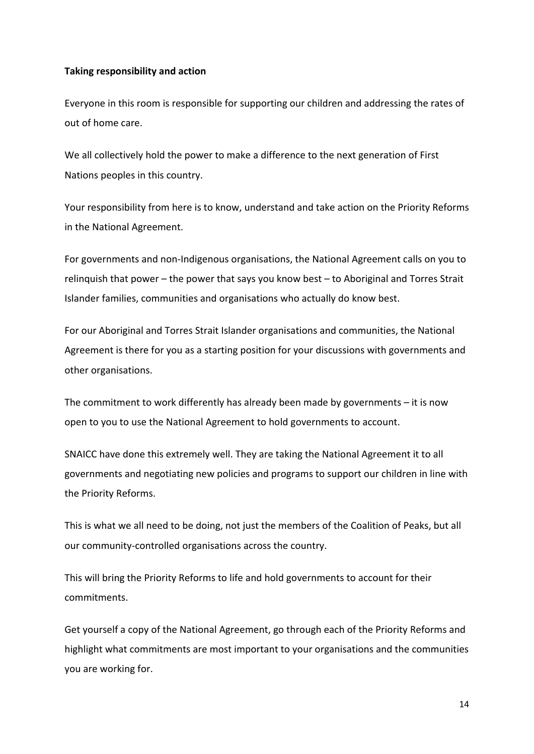## **Taking responsibility and action**

Everyone in this room is responsible for supporting our children and addressing the rates of out of home care.

We all collectively hold the power to make a difference to the next generation of First Nations peoples in this country.

Your responsibility from here is to know, understand and take action on the Priority Reforms in the National Agreement.

For governments and non-Indigenous organisations, the National Agreement calls on you to relinquish that power – the power that says you know best – to Aboriginal and Torres Strait Islander families, communities and organisations who actually do know best.

For our Aboriginal and Torres Strait Islander organisations and communities, the National Agreement is there for you as a starting position for your discussions with governments and other organisations.

The commitment to work differently has already been made by governments  $-$  it is now open to you to use the National Agreement to hold governments to account.

SNAICC have done this extremely well. They are taking the National Agreement it to all governments and negotiating new policies and programs to support our children in line with the Priority Reforms.

This is what we all need to be doing, not just the members of the Coalition of Peaks, but all our community-controlled organisations across the country.

This will bring the Priority Reforms to life and hold governments to account for their commitments.

Get yourself a copy of the National Agreement, go through each of the Priority Reforms and highlight what commitments are most important to your organisations and the communities you are working for.